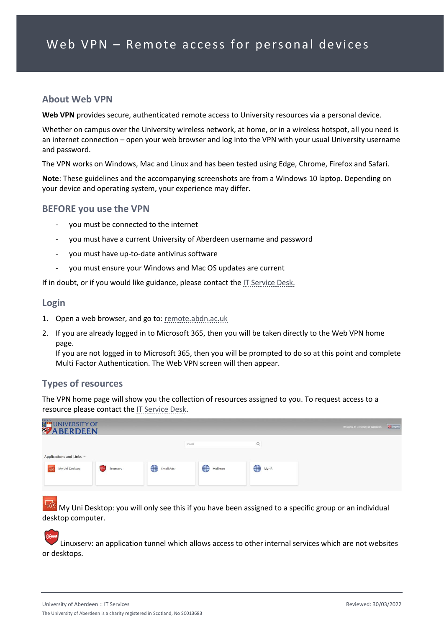## **About Web VPN**

**Web VPN** provides secure, authenticated remote access to University resources via a personal device.

Whether on campus over the University wireless network, at home, or in a wireless hotspot, all you need is an internet connection – open your web browser and log into the VPN with your usual University username and password.

The VPN works on Windows, Mac and Linux and has been tested using Edge, Chrome, Firefox and Safari.

**Note**: These guidelines and the accompanying screenshots are from a Windows 10 laptop. Depending on your device and operating system, your experience may differ.

## **BEFORE you use the VPN**

- you must be connected to the internet
- you must have a current University of Aberdeen username and password
- you must have up-to-date antivirus software
- you must ensure your Windows and Mac OS updates are current

If in doubt, or if you would like guidance, please contact the [IT Service Desk.](mailto:servicedesk@abdn.ac.uk?subject=Web%20VPN)

### **Login**

- 1. Open a web browser, and go to: [remote.abdn.ac.uk](https://remote.abdn.ac.uk/)
- 2. If you are already logged in to Microsoft 365, then you will be taken directly to the Web VPN home page.

If you are not logged in to Microsoft 365, then you will be prompted to do so at this point and complete Multi Factor Authentication. The Web VPN screen will then appear.

# **Types of resources**

The VPN home page will show you the collection of resources assigned to you. To request access to a resource please contact the [IT Service Desk.](mailto:servicedesk@abdn.ac.uk)



My Uni Desktop: you will only see this if you have been assigned to a specific group or an individual desktop computer.

Linuxserv: an application tunnel which allows access to other internal services which are not websites or desktops.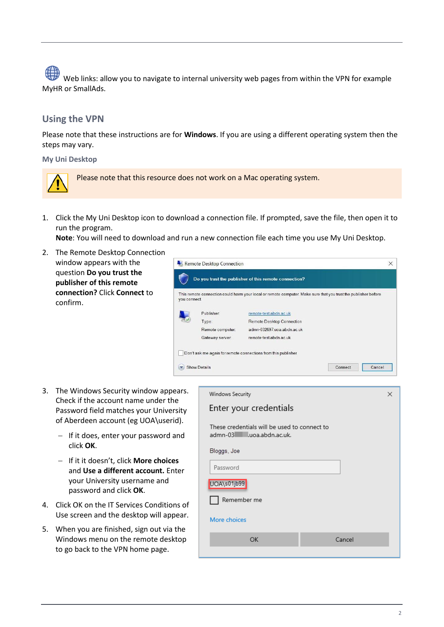Web links: allow you to navigate to internal university web pages from within the VPN for example MyHR or SmallAds.

# **Using the VPN**

Please note that these instructions are for **Windows**. If you are using a different operating system then the steps may vary.

**My Uni Desktop**



Please note that this resource does not work on a Mac operating system.

1. Click the My Uni Desktop icon to download a connection file. If prompted, save the file, then open it to run the program.

**Note**: You will need to download and run a new connection file each time you use My Uni Desktop.

2. The Remote Desktop Connection window appears with the question **Do you trust the publisher of this remote connection?** Click **Connect** to confirm.



- 3. The Windows Security window appears. Check if the account name under the Password field matches your University of Aberdeen account (eg UOA\userid).
	- − If it does, enter your password and click **OK**.
	- − If it it doesn't, click **More choices**  and **Use a different account.** Enter your University username and password and click **OK**.
- 4. Click OK on the IT Services Conditions of Use screen and the desktop will appear.
- 5. When you are finished, sign out via the Windows menu on the remote desktop to go back to the VPN home page.

| Windows Security                             | ×      |
|----------------------------------------------|--------|
|                                              |        |
| Enter your credentials                       |        |
| These credentials will be used to connect to |        |
| admn-03 .uoa.abdn.ac.uk.                     |        |
|                                              |        |
| Bloggs, Joe                                  |        |
|                                              |        |
| Password                                     |        |
| UOA\s01jb99                                  |        |
|                                              |        |
| Remember me                                  |        |
|                                              |        |
| More choices                                 |        |
|                                              |        |
| OK                                           | Cancel |
|                                              |        |
|                                              |        |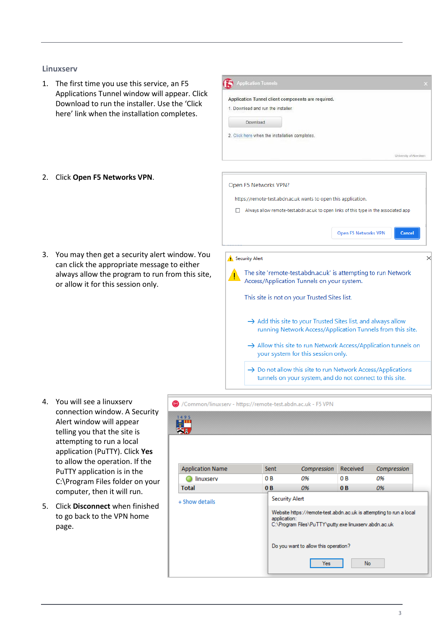#### **Linuxserv**

1. The first time you use this service, an F5 Applications Tunnel window will appear. Click Download to run the installer. Use the 'Click here' link when the installation completes.

2. Click **Open F5 Networks VPN**.

- Application Tunnels Application Tunnel client components are required. 1. Download and run the installer. Download 2. Click here when the installation completes. University of Aberdeer Open F5 Networks VPN?
	- https://remote-test.abdn.ac.uk wants to open this application.
	- Always allow remote-test.abdn.ac.uk to open links of this type in the associated app

Open F5 Networks VPN

Cancel

×

3. You may then get a security alert window. You can click the appropriate message to either always allow the program to run from this site, or allow it for this session only.

This site is not on your Trusted Sites list.

Access/Application Tunnels on your system.

 $\rightarrow$  Add this site to your Trusted Sites list, and always allow running Network Access/Application Tunnels from this site.

The site 'remote-test.abdn.ac.uk' is attempting to run Network

- $\rightarrow$  Allow this site to run Network Access/Application tunnels on your system for this session only.
- $\rightarrow$  Do not allow this site to run Network Access/Applications tunnels on your system, and do not connect to this site.

- 4. You will see a linuxserv connection window. A Security Alert window will appear telling you that the site is attempting to run a local application (PuTTY). Click **Yes**  to allow the operation. If the PuTTY application is in the C:\Program Files folder on your computer, then it will run.
- 5. Click **Disconnect** when finished to go back to the VPN home page.

Common/linuxserv - https://remote-test.abdn.ac.uk - F5 VPN

Security Alert

| <b>Application Name</b> | Sent | Compression                                                                                                                                  | Received       | Compression |  |  |
|-------------------------|------|----------------------------------------------------------------------------------------------------------------------------------------------|----------------|-------------|--|--|
| linuxserv               | 0 B  | 0%                                                                                                                                           | 0 B            | 0%          |  |  |
| <b>Total</b>            | 0B   | 0%                                                                                                                                           | 0 <sub>B</sub> | 0%          |  |  |
| + Show details          |      | <b>Security Alert</b>                                                                                                                        |                |             |  |  |
|                         |      | Website https://remote-test.abdn.ac.uk is attempting to run a local<br>application:<br>C:\Program Files\PuTTY\putty.exe linuxserv.abdn.ac.uk |                |             |  |  |
|                         |      | Do you want to allow this operation?                                                                                                         |                |             |  |  |
|                         |      |                                                                                                                                              |                |             |  |  |